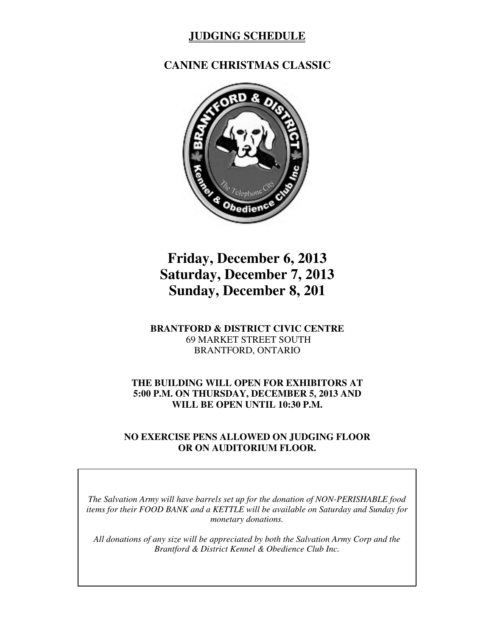# **JUDGING SCHEDULE**

## **CANINE CHRISTMAS CLASSIC**



# **Friday, December 6, 2013 Saturday, December 7, 2013 Sunday, December 8, 201**

#### **BRANTFORD & DISTRICT CIVIC CENTRE** 69 MARKET STREET SOUTH BRANTFORD, ONTARIO

#### **THE BUILDING WILL OPEN FOR EXHIBITORS AT 5:00 P.M. ON THURSDAY, DECEMBER 5, 2013 AND WILL BE OPEN UNTIL 10:30 P.M.**

#### **NO EXERCISE PENS ALLOWED ON JUDGING FLOOR OR ON AUDITORIUM FLOOR.**

*The Salvation Army will have barrels set up for the donation of NON-PERISHABLE food items for their FOOD BANK and a KETTLE will be available on Saturday and Sunday for monetary donations.*

*All donations of any size will be appreciated by both the Salvation Army Corp and the Brantford & District Kennel & Obedience Club Inc.*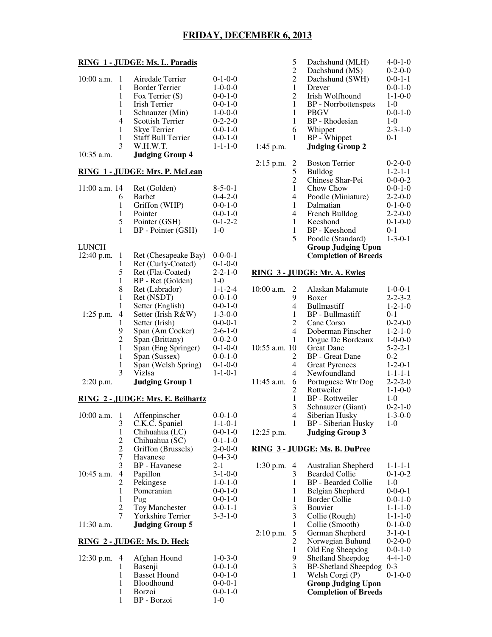#### **RING 1 - JUDGE: Ms. L. Paradis**

| $10:00$ a.m. |   | Airedale Terrier          | $0-1-0-0$       |
|--------------|---|---------------------------|-----------------|
|              | 1 | <b>Border Terrier</b>     | $1 - 0 - 0 - 0$ |
|              | 1 | Fox Terrier $(S)$         | $0-0-1-0$       |
|              | 1 | <b>Irish Terrier</b>      | $0-0-1-0$       |
|              | 1 | Schnauzer (Min)           | $1 - 0 - 0 - 0$ |
|              | 4 | <b>Scottish Terrier</b>   | $0 - 2 - 2 - 0$ |
|              | 1 | Skye Terrier              | $0-0-1-0$       |
|              | 1 | <b>Staff Bull Terrier</b> | $0-0-1-0$       |
|              | 3 | W.H.W.T.                  | $1 - 1 - 1 - 0$ |
| 10.25        |   | <b>TI'</b> A              |                 |

10:35 a.m. **Judging Group 4**

### **RING 1 - JUDGE: Mrs. P. McLean**

| $11:00$ a.m. 14 |   | Ret (Golden)         | $8 - 5 - 0 - 1$ |
|-----------------|---|----------------------|-----------------|
|                 | 6 | <b>Barbet</b>        | $0-4-2-0$       |
|                 | 1 | Griffon (WHP)        | $0-0-1-0$       |
|                 | 1 | Pointer              | $0-0-1-0$       |
|                 | 5 | Pointer (GSH)        | $0-1-2-2$       |
|                 | 1 | BP - Pointer (GSH)   | $1-0$           |
| <b>LUNCH</b>    |   |                      |                 |
| 12:40 p.m.      | 1 | Ret (Chesapeake Bay) | $0-0-0-1$       |
|                 | 1 | Ret (Curly-Coated)   | $0-1-0-0$       |
|                 | 5 | Ret (Flat-Coated)    | $2 - 2 - 1 - 0$ |
|                 | 1 | BP - Ret (Golden)    | $1 - 0$         |
|                 | 8 | Ret (Labrador)       | $1 - 1 - 2 - 4$ |
|                 | 1 | Ret (NSDT)           | $0-0-1-0$       |
|                 | 1 | Setter (English)     | $0-0-1-0$       |
| $1:25$ p.m.     | 4 | Setter (Irish R&W)   | $1 - 3 - 0 - 0$ |
|                 |   | Setter (Irish)       | $0 - 0 - 0 - 1$ |

|             |   | Setter (Irish)         | $0-0-0-1$       |
|-------------|---|------------------------|-----------------|
|             | 9 | Span (Am Cocker)       | $2 - 6 - 1 - 0$ |
|             | 2 | Span (Brittany)        | $0 - 0 - 2 - 0$ |
|             |   | Span (Eng Springer)    | $0-1-0-0$       |
|             | 1 | Span (Sussex)          | $0-0-1-0$       |
|             |   | Span (Welsh Spring)    | $0-1-0-0$       |
|             | 3 | Vizlsa                 | $1 - 1 - 0 - 1$ |
| $2:20$ p.m. |   | <b>Judging Group 1</b> |                 |
|             |   |                        |                 |

#### **RING 2 - JUDGE: Mrs. E. Beilhartz**

| $10:00$ a.m. | 1 | Affenpinscher            | $0 - 0 - 1 - 0$ |
|--------------|---|--------------------------|-----------------|
|              | 3 | C.K.C. Spaniel           | $1 - 1 - 0 - 1$ |
|              | 1 | Chihuahua (LC)           | $0 - 0 - 1 - 0$ |
|              | 2 | Chihuahua (SC)           | $0-1-1-0$       |
|              | 2 | Griffon (Brussels)       | $2 - 0 - 0 - 0$ |
|              | 7 | Havanese                 | $0-4-3-0$       |
|              | 3 | <b>BP</b> - Havanese     | $2 - 1$         |
| 10:45 a.m.   | 4 | Papillon                 | $3 - 1 - 0 - 0$ |
|              | 2 | Pekingese                | $1 - 0 - 1 - 0$ |
|              | 1 | Pomeranian               | $0 - 0 - 1 - 0$ |
|              | 1 | Pug                      | $0 - 0 - 1 - 0$ |
|              | 2 | <b>Toy Manchester</b>    | $0 - 0 - 1 - 1$ |
|              | 7 | <b>Yorkshire Terrier</b> | $3 - 3 - 1 - 0$ |
| 11:30 a.m.   |   | <b>Judging Group 5</b>   |                 |

#### **RING 2 - JUDGE: Ms. D. Heck**

|  | 12:30 p.m. 4 Afghan Hound | $1 - 0 - 3 - 0$ |
|--|---------------------------|-----------------|
|  | Basenji                   | $0-0-1-0$       |
|  | <b>Basset Hound</b>       | $0 - 0 - 1 - 0$ |
|  | Bloodhound                | $0-0-0-1$       |
|  | <b>Borzoi</b>             | $0-0-1-0$       |
|  | BP - Borzoi               | 1- $\Omega$     |
|  |                           |                 |

|             | 5              | Dachshund (MLH)             | 4-0-1-0         |
|-------------|----------------|-----------------------------|-----------------|
|             | $\overline{c}$ | Dachshund (MS)              | $0 - 2 - 0 - 0$ |
|             | $\overline{2}$ | Dachshund (SWH)             | $0 - 0 - 1 - 1$ |
|             | $\mathbf{1}$   | Drever                      | $0-0-1-0$       |
|             | 2              | Irish Wolfhound             | $1 - 1 - 0 - 0$ |
|             | $\mathbf{1}$   | <b>BP</b> - Norrbottenspets | $1-0$           |
|             | 1              | PBGV                        | $0 - 0 - 1 - 0$ |
|             | 1              | BP - Rhodesian              | $1-0$           |
|             | 6              | Whippet                     | $2 - 3 - 1 - 0$ |
|             | 1              | BP - Whippet                | 0-1             |
| 1:45 p.m.   |                | <b>Judging Group 2</b>      |                 |
|             |                |                             |                 |
| $2:15$ p.m. |                | <b>Boston Terrier</b>       | $0-2-0-0$       |
|             | $rac{2}{5}$    | Bulldog                     | $1 - 2 - 1 - 1$ |
|             | $\overline{c}$ | Chinese Shar-Pei            | $0 - 0 - 0 - 2$ |
|             | $\mathbf{1}$   | Chow Chow                   | $0 - 0 - 1 - 0$ |
|             | 4              | Poodle (Miniature)          | $2 - 2 - 0 - 0$ |
|             | 1              | Dalmatian                   | $0-1-0-0$       |
|             | 4              | French Bulldog              | $2 - 2 - 0 - 0$ |
|             | 1              | Keeshond                    | $0-1-0-0$       |
|             | 1              | BP - Keeshond               | 0-1             |
|             | 5              | Poodle (Standard)           | $1 - 3 - 0 - 1$ |
|             |                | <b>Group Judging Upon</b>   |                 |
|             |                | <b>Completion of Breeds</b> |                 |
|             |                |                             |                 |
|             |                |                             |                 |

#### **RING 3 - JUDGE: Mr. A. Ewles**

| $10:00$ a.m.<br>2 | Alaskan Malamute        | $1 - 0 - 0 - 1$ |
|-------------------|-------------------------|-----------------|
| 9                 | Boxer                   | $2 - 2 - 3 - 2$ |
| 4                 | <b>Bullmastiff</b>      | $1 - 2 - 1 - 0$ |
| 1                 | <b>BP</b> - Bullmastiff | $0-1$           |
| 2                 | Cane Corso              | $0-2-0-0$       |
| 4                 | Doberman Pinscher       | $1 - 2 - 1 - 0$ |
| 1                 | Dogue De Bordeaux       | $1 - 0 - 0 - 0$ |
| $10:55$ a.m. $10$ | <b>Great Dane</b>       | $5 - 2 - 2 - 1$ |
| $\overline{2}$    | <b>BP</b> - Great Dane  | $0 - 2$         |
| 4                 | <b>Great Pyrenees</b>   | $1 - 2 - 0 - 1$ |
| 4                 | Newfoundland            | $1 - 1 - 1 - 1$ |
| 11:45 a.m.<br>6   | Portuguese Wtr Dog      | $2 - 2 - 2 - 0$ |
| 2                 | Rottweiler              | $1 - 1 - 0 - 0$ |
| 1                 | BP - Rottweiler         | $1-0$           |
| 3                 | Schnauzer (Giant)       | $0 - 2 - 1 - 0$ |
| 4                 | Siberian Husky          | $1 - 3 - 0 - 0$ |
| 1                 | BP - Siberian Husky     | $1-0$           |
| 12:25 p.m.        | <b>Judging Group 3</b>  |                 |

#### **RING 3 - JUDGE: Ms. B. DuPree**

| $1:30$ p.m. | 4 | Australian Shepherd         | $1 - 1 - 1 - 1$ |
|-------------|---|-----------------------------|-----------------|
|             | 3 | <b>Bearded Collie</b>       | $0-1-0-2$       |
|             | 1 | BP - Bearded Collie         | $1-0$           |
|             | 1 | Belgian Shepherd            | $0-0-0-1$       |
|             | 1 | Border Collie               | $0-0-1-0$       |
|             | 3 | <b>Bouvier</b>              | $1 - 1 - 1 - 0$ |
|             | 3 | Collie (Rough)              | $1 - 1 - 1 - 0$ |
|             | 1 | Collie (Smooth)             | $0-1-0-0$       |
| $2:10$ p.m. | 5 | German Shepherd             | $3 - 1 - 0 - 1$ |
|             | 2 | Norwegian Buhund            | $0-2-0-0$       |
|             | 1 | Old Eng Sheepdog            | $0 - 0 - 1 - 0$ |
|             | 9 | <b>Shetland Sheepdog</b>    | $4 - 4 - 1 - 0$ |
|             | 3 | <b>BP-Shetland Sheepdog</b> | $0 - 3$         |
|             | 1 | Welsh Corgi (P)             | $0-1-0-0$       |
|             |   | <b>Group Judging Upon</b>   |                 |
|             |   | <b>Completion of Breeds</b> |                 |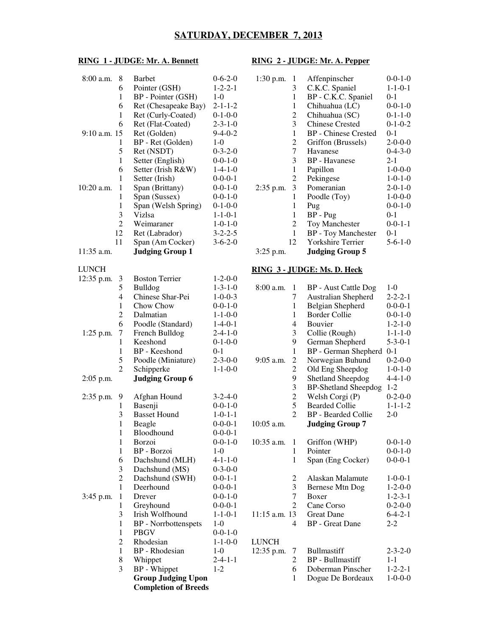#### **SATURDAY, DECEMBER 7, 2013**

#### **RING 1 - JUDGE: Mr. A. Bennett RING 2 - JUDGE: Mr. A. Pepper**

| 8:00 a.m.        | 8              | <b>Barbet</b>               | $0 - 6 - 2 - 0$ | 1:30 p.m.<br>1                |
|------------------|----------------|-----------------------------|-----------------|-------------------------------|
|                  | 6              | Pointer (GSH)               | $1 - 2 - 2 - 1$ | 3                             |
|                  | $\mathbf{1}$   | BP - Pointer (GSH)          | $1-0$           | $\mathbf{1}$                  |
|                  | 6              | Ret (Chesapeake Bay)        | $2 - 1 - 1 - 2$ | $\mathbf{1}$                  |
|                  | $\mathbf{1}$   | Ret (Curly-Coated)          | $0-1-0-0$       | $\overline{c}$                |
|                  | 6              | Ret (Flat-Coated)           | $2 - 3 - 1 - 0$ | 3                             |
| $9:10$ a.m. $15$ |                | Ret (Golden)                | $9-4-0-2$       | $\mathbf{1}$                  |
|                  | 1              | BP - Ret (Golden)           | $1-0$           | $\overline{c}$                |
|                  | 5              | Ret (NSDT)                  | $0 - 3 - 2 - 0$ | $\overline{7}$                |
|                  | 1              | Setter (English)            | $0 - 0 - 1 - 0$ | 3                             |
|                  | 6              | Setter (Irish R&W)          | $1-4-1-0$       | $\mathbf{1}$                  |
|                  | $\mathbf{1}$   | Setter (Irish)              | $0 - 0 - 0 - 1$ | $\overline{c}$                |
| 10:20 a.m.       | $\mathbf{1}$   | Span (Brittany)             | $0 - 0 - 1 - 0$ | 3<br>2:35 p.m.                |
|                  | $\mathbf{1}$   | Span (Sussex)               | $0 - 0 - 1 - 0$ | 1                             |
|                  | $\mathbf{1}$   | Span (Welsh Spring)         | $0-1-0-0$       | 1                             |
|                  | 3              | Vizlsa                      | $1 - 1 - 0 - 1$ | $\mathbf{1}$                  |
|                  | $\overline{2}$ | Weimaraner                  | $1 - 0 - 1 - 0$ | $\overline{c}$                |
|                  | 12             | Ret (Labrador)              | $3 - 2 - 2 - 5$ | $\mathbf{1}$                  |
|                  | 11             | Span (Am Cocker)            | $3 - 6 - 2 - 0$ | 12                            |
| 11:35 a.m.       |                | <b>Judging Group 1</b>      |                 | $3:25$ p.m.                   |
| <b>LUNCH</b>     |                |                             |                 | <u>RING 3 - JUI</u>           |
| 12:35 p.m.       | 3              | <b>Boston Terrier</b>       | $1 - 2 - 0 - 0$ |                               |
|                  | 5              | Bulldog                     | $1 - 3 - 1 - 0$ | 8:00 a.m.<br>1                |
|                  | 4              | Chinese Shar-Pei            | $1 - 0 - 0 - 3$ | 7                             |
|                  | 1              | Chow Chow                   | $0 - 0 - 1 - 0$ | $\mathbf{1}$                  |
|                  | $\overline{c}$ | Dalmatian                   | $1 - 1 - 0 - 0$ | $\mathbf{1}$                  |
|                  | 6              | Poodle (Standard)           | $1-4-0-1$       | $\overline{\mathcal{L}}$      |
| $1:25$ p.m.      | 7              | French Bulldog              | $2 - 4 - 1 - 0$ | 3                             |
|                  | $\mathbf{1}$   | Keeshond                    | $0-1-0-0$       | 9                             |
|                  | 1              | BP - Keeshond               | $0 - 1$         | $\mathbf{1}$                  |
|                  | 5              | Poodle (Miniature)          | $2 - 3 - 0 - 0$ | $\overline{c}$<br>$9:05$ a.m. |
|                  | $\overline{2}$ | Schipperke                  | $1 - 1 - 0 - 0$ | $\overline{c}$                |
| $2:05$ p.m.      |                | <b>Judging Group 6</b>      |                 | 9                             |
| $2:35$ p.m.      | 9              | Afghan Hound                | $3 - 2 - 4 - 0$ | 3<br>$\overline{c}$           |
|                  | 1              | Basenji                     | $0 - 0 - 1 - 0$ | 5                             |
|                  | 3              | <b>Basset Hound</b>         | $1 - 0 - 1 - 1$ | $\overline{2}$                |
|                  | $\mathbf{1}$   | Beagle                      | $0 - 0 - 0 - 1$ | $10:05$ a.m.                  |
|                  | 1              | Bloodhound                  | $0 - 0 - 0 - 1$ |                               |
|                  | 1              | Borzoi                      | $0 - 0 - 1 - 0$ | 10:35 a.m.<br>1               |
|                  | 1              | BP - Borzoi                 | $1-0$           | 1                             |
|                  | 6              | Dachshund (MLH)             | $4 - 1 - 1 - 0$ | 1                             |
|                  | 3              | Dachshund (MS)              | $0 - 3 - 0 - 0$ |                               |
|                  | $\overline{c}$ | Dachshund (SWH)             | $0 - 0 - 1 - 1$ | $\overline{\mathbf{c}}$       |
|                  | $\mathbf{1}$   | Deerhound                   | $0 - 0 - 0 - 1$ | 3                             |
| 3:45 p.m.        | 1              | Drever                      | $0 - 0 - 1 - 0$ | $\overline{7}$                |
|                  | 1              | Greyhound                   | $0 - 0 - 0 - 1$ | $\overline{2}$                |
|                  | 3              | Irish Wolfhound             | $1 - 1 - 0 - 1$ | 11:15 a.m. 13                 |
|                  | 1              | <b>BP</b> - Norrbottenspets | $1-0$           | 4                             |
|                  | 1              | <b>PBGV</b>                 | $0 - 0 - 1 - 0$ |                               |
|                  | $\overline{c}$ | Rhodesian                   | $1 - 1 - 0 - 0$ | <b>LUNCH</b>                  |
|                  | $\mathbf{1}$   | <b>BP</b> - Rhodesian       | $1-0$           | 12:35 p.m.<br>Τ               |
|                  | 8              | Whippet                     | $2 - 4 - 1 - 1$ | $\boldsymbol{2}$              |
|                  | 3              | <b>BP</b> - Whippet         | $1-2$           | 6                             |
|                  |                | <b>Group Judging Upon</b>   |                 | 1                             |
|                  |                | <b>Completion of Breeds</b> |                 |                               |

| $1:30$ p.m. | 1  | Affenpinscher               | $0 - 0 - 1 - 0$ |
|-------------|----|-----------------------------|-----------------|
|             | 3  | C.K.C. Spaniel              | $1 - 1 - 0 - 1$ |
|             | 1  | BP - C.K.C. Spaniel         | $0-1$           |
|             | 1  | Chihuahua (LC)              | $0 - 0 - 1 - 0$ |
|             | 2  | Chihuahua (SC)              | $0-1-1-0$       |
|             | 3  | <b>Chinese Crested</b>      | $0-1-0-2$       |
|             | 1  | <b>BP</b> - Chinese Crested | $0-1$           |
|             | 2  | Griffon (Brussels)          | $2 - 0 - 0 - 0$ |
|             | 7  | Havanese                    | $0-4-3-0$       |
|             | 3  | <b>BP</b> - Havanese        | $2 - 1$         |
|             | 1  | Papillon                    | $1 - 0 - 0 - 0$ |
|             | 2  | Pekingese                   | $1 - 0 - 1 - 0$ |
| 2:35 p.m.   | 3  | Pomeranian                  | $2 - 0 - 1 - 0$ |
|             | 1  | Poodle (Toy)                | $1 - 0 - 0 - 0$ |
|             | 1  | Pug                         | $0 - 0 - 1 - 0$ |
|             | 1  | $BP - Pug$                  | $0-1$           |
|             | 2  | <b>Toy Manchester</b>       | $0 - 0 - 1 - 1$ |
|             | 1  | <b>BP</b> - Toy Manchester  | $0 - 1$         |
|             | 12 | Yorkshire Terrier           | $5 - 6 - 1 - 0$ |
| $3:25$ p.m. |    | <b>Judging Group 5</b>      |                 |

#### **DGE: Ms. D. Heck**

| 8:00 a.m.     | 1              | <b>BP</b> - Aust Cattle Dog            | $1-0$                              |
|---------------|----------------|----------------------------------------|------------------------------------|
|               | 7              | <b>Australian Shepherd</b>             | $2 - 2 - 2 - 1$                    |
|               | 1              | <b>Belgian Shepherd</b>                | $0 - 0 - 0 - 1$                    |
|               | $\mathbf{1}$   | <b>Border Collie</b>                   | $0 - 0 - 1 - 0$                    |
|               | 4              | <b>Bouvier</b>                         | $1 - 2 - 1 - 0$                    |
|               | 3              | Collie (Rough)                         | $1 - 1 - 1 - 0$                    |
|               | 9              | German Shepherd                        | $5 - 3 - 0 - 1$                    |
|               | $\mathbf{1}$   | <b>BP</b> - German Shepherd            | $0 - 1$                            |
| $9:05$ a.m.   | $\overline{c}$ | Norwegian Buhund                       | $0 - 2 - 0 - 0$                    |
|               | $\overline{c}$ | Old Eng Sheepdog                       | $1 - 0 - 1 - 0$                    |
|               | 9              | Shetland Sheepdog                      | $4 - 4 - 1 - 0$                    |
|               | 3              | <b>BP-Shetland Sheepdog</b>            | $1-2$                              |
|               |                | Welsh Corgi (P)                        | $0-2-0-0$                          |
|               | $\frac{2}{5}$  | <b>Bearded Collie</b>                  | $1 - 1 - 1 - 2$                    |
|               | $\overline{2}$ | <b>BP</b> - Bearded Collie             | $2-0$                              |
| $10:05$ a.m.  |                | <b>Judging Group 7</b>                 |                                    |
|               |                |                                        |                                    |
| $10:35$ a.m.  | 1              | Griffon (WHP)                          | $0 - 0 - 1 - 0$                    |
|               | $\mathbf{1}$   | Pointer                                | $0 - 0 - 1 - 0$                    |
|               | 1              | Span (Eng Cocker)                      | $0 - 0 - 0 - 1$                    |
|               |                |                                        |                                    |
|               | $\overline{c}$ | Alaskan Malamute                       | $1 - 0 - 0 - 1$                    |
|               | 3              | Bernese Mtn Dog                        | $1 - 2 - 0 - 0$                    |
|               |                |                                        |                                    |
|               | 7              | Boxer                                  | $1 - 2 - 3 - 1$                    |
|               | $\overline{2}$ | Cane Corso                             | $0-2-0-0$                          |
| 11:15 a.m. 13 |                | <b>Great Dane</b>                      | $6 - 4 - 2 - 1$                    |
|               | 4              | <b>BP</b> - Great Dane                 | 2-2                                |
|               |                |                                        |                                    |
| <b>LUNCH</b>  |                |                                        |                                    |
| 12:35 p.m.    | 7              | <b>Bullmastiff</b>                     | $2 - 3 - 2 - 0$                    |
|               | 2              | <b>BP</b> - Bullmastiff                | $1 - 1$                            |
|               | 6<br>1         | Doberman Pinscher<br>Dogue De Bordeaux | $1 - 2 - 2 - 1$<br>$1 - 0 - 0 - 0$ |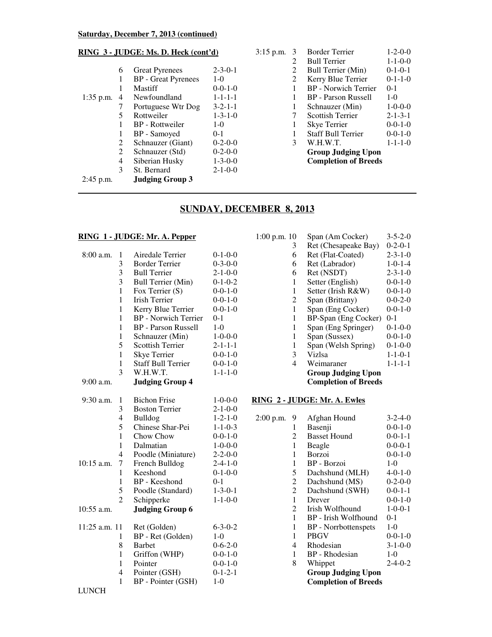#### **Saturday, December 7, 2013 (continued)**

#### **RING 3 - JUDGE: Ms. D. Heck (cont'd)**

|             | 6 | <b>Great Pyrenees</b>      | $2 - 3 - 0 - 1$ |
|-------------|---|----------------------------|-----------------|
|             | 1 | <b>BP</b> - Great Pyrenees | $1 - \Omega$    |
|             |   | Mastiff                    | $0-0-1-0$       |
| $1:35$ p.m. | 4 | Newfoundland               | $1 - 1 - 1 - 1$ |
|             | 7 | Portuguese Wtr Dog         | $3 - 2 - 1 - 1$ |
|             | 5 | Rottweiler                 | $1 - 3 - 1 - 0$ |
|             |   | BP - Rottweiler            | $1 - \Omega$    |
|             | 1 | BP - Samoyed               | 0-1             |
|             | 2 | Schnauzer (Giant)          | $0-2-0-0$       |
|             | 2 | Schnauzer (Std)            | $0-2-0-0$       |
|             | 4 | Siberian Husky             | $1 - 3 - 0 - 0$ |
|             | 3 | St. Bernard                | $2 - 1 - 0 - 0$ |
| $2:45$ p.m. |   | <b>Judging Group 3</b>     |                 |

| 3:15 p.m. | 3 | <b>Border Terrier</b>       | $1 - 2 - 0 - 0$ |
|-----------|---|-----------------------------|-----------------|
|           | 2 | <b>Bull Terrier</b>         | $1 - 1 - 0 - 0$ |
|           | 2 | Bull Terrier (Min)          | $0-1-0-1$       |
|           | 2 | Kerry Blue Terrier          | $0-1-1-0$       |
|           | 1 | <b>BP</b> - Norwich Terrier | $0-1$           |
|           | 1 | BP - Parson Russell         | $1-0$           |
|           | 1 | Schnauzer (Min)             | $1 - 0 - 0 - 0$ |
|           | 7 | <b>Scottish Terrier</b>     | $2 - 1 - 3 - 1$ |
|           | 1 | Skye Terrier                | $0 - 0 - 1 - 0$ |
|           | 1 | <b>Staff Bull Terrier</b>   | $0 - 0 - 1 - 0$ |
|           | 3 | W.H.W.T.                    | $1 - 1 - 1 - 0$ |
|           |   | <b>Group Judging Upon</b>   |                 |
|           |   | <b>Completion of Breeds</b> |                 |

### **SUNDAY, DECEMBER 8, 2013**

#### **RING 1 - JUDGE: Mr. A. Pepper**

| 8:00 a.m.     | 1              | Airedale Terrier            | $0-1-0-0$       |
|---------------|----------------|-----------------------------|-----------------|
|               | 3              | <b>Border Terrier</b>       | $0 - 3 - 0 - 0$ |
|               | 3              | <b>Bull Terrier</b>         | $2 - 1 - 0 - 0$ |
|               | 3              | <b>Bull Terrier (Min)</b>   | $0-1-0-2$       |
|               | $\mathbf{1}$   | Fox Terrier (S)             | $0 - 0 - 1 - 0$ |
|               | $\mathbf{1}$   | Irish Terrier               | $0 - 0 - 1 - 0$ |
|               | $\mathbf{1}$   | Kerry Blue Terrier          | $0 - 0 - 1 - 0$ |
|               | 1              | <b>BP</b> - Norwich Terrier | 0-1             |
|               | $\mathbf{1}$   | <b>BP</b> - Parson Russell  | $1-0$           |
|               | $\mathbf{1}$   | Schnauzer (Min)             | $1 - 0 - 0 - 0$ |
|               | 5              | <b>Scottish Terrier</b>     | $2 - 1 - 1 - 1$ |
|               | $\mathbf{1}$   | <b>Skye Terrier</b>         | $0 - 0 - 1 - 0$ |
|               | $\mathbf{1}$   | <b>Staff Bull Terrier</b>   | $0 - 0 - 1 - 0$ |
|               | 3              | W.H.W.T.                    | $1 - 1 - 1 - 0$ |
| $9:00$ a.m.   |                | <b>Judging Group 4</b>      |                 |
|               |                |                             |                 |
| $9:30$ a.m.   | 1              | <b>Bichon Frise</b>         | $1 - 0 - 0 - 0$ |
|               | 3              | <b>Boston Terrier</b>       | $2 - 1 - 0 - 0$ |
|               | $\overline{4}$ | <b>Bulldog</b>              | $1 - 2 - 1 - 0$ |
|               | 5              | Chinese Shar-Pei            | $1 - 1 - 0 - 3$ |
|               | $\mathbf{1}$   | Chow Chow                   | $0 - 0 - 1 - 0$ |
|               | 1              | Dalmatian                   | $1 - 0 - 0 - 0$ |
|               | 4              | Poodle (Miniature)          | $2 - 2 - 0 - 0$ |
| 10:15 a.m.    | 7              | French Bulldog              | $2 - 4 - 1 - 0$ |
|               | $\mathbf{1}$   | Keeshond                    | $0-1-0-0$       |
|               | $\mathbf{1}$   | <b>BP</b> - Keeshond        | 0-1             |
|               | 5              | Poodle (Standard)           | $1 - 3 - 0 - 1$ |
|               | $\overline{2}$ | Schipperke                  | $1 - 1 - 0 - 0$ |
| 10:55 a.m.    |                | <b>Judging Group 6</b>      |                 |
| 11:25 a.m. 11 |                | Ret (Golden)                | $6 - 3 - 0 - 2$ |
|               | 1              | BP - Ret (Golden)           | $1-0$           |
|               | 8              | <b>Barbet</b>               | $0 - 6 - 2 - 0$ |
|               | $\mathbf{1}$   | Griffon (WHP)               | $0 - 0 - 1 - 0$ |
|               | 1              | Pointer                     | $0 - 0 - 1 - 0$ |
|               | 4              | Pointer (GSH)               | $0-1-2-1$       |
|               | 1              | BP - Pointer (GSH)          | $1-0$           |
|               |                |                             |                 |

| $1:00$ p.m. $10$ | Span (Am Cocker)            | $3 - 5 - 2 - 0$ |
|------------------|-----------------------------|-----------------|
| 3                | Ret (Chesapeake Bay)        | $0-2-0-1$       |
| 6                | Ret (Flat-Coated)           | $2 - 3 - 1 - 0$ |
| 6                | Ret (Labrador)              | $1 - 0 - 1 - 4$ |
| 6                | Ret (NSDT)                  | $2 - 3 - 1 - 0$ |
| 1                | Setter (English)            | $0 - 0 - 1 - 0$ |
| 1                | Setter (Irish R&W)          | $0 - 0 - 1 - 0$ |
| 2                | Span (Brittany)             | $0 - 0 - 2 - 0$ |
| 1                | Span (Eng Cocker)           | $0-0-1-0$       |
| 1                | BP-Span (Eng Cocker)        | $0 - 1$         |
| 1                | Span (Eng Springer)         | $0-1-0-0$       |
| 1                | Span (Sussex)               | $0 - 0 - 1 - 0$ |
| 1                | Span (Welsh Spring)         | $0-1-0-0$       |
| 3                | Vizlsa                      | $1 - 1 - 0 - 1$ |
| 4                | Weimaraner                  | $1 - 1 - 1 - 1$ |
|                  | <b>Group Judging Upon</b>   |                 |
|                  | <b>Completion of Breeds</b> |                 |

#### **RING 2 - JUDGE: Mr. A. Ewles**

| 2:00 p.m. | 9 | Afghan Hound                | $3 - 2 - 4 - 0$ |
|-----------|---|-----------------------------|-----------------|
|           | 1 | Basenji                     | $0 - 0 - 1 - 0$ |
|           | 2 | <b>Basset Hound</b>         | $0 - 0 - 1 - 1$ |
|           | 1 | Beagle                      | $0-0-0-1$       |
|           | 1 | Borzoi                      | $0 - 0 - 1 - 0$ |
|           | 1 | BP - Borzoi                 | $1-0$           |
|           | 5 | Dachshund (MLH)             | $4 - 0 - 1 - 0$ |
|           | 2 | Dachshund (MS)              | $0-2-0-0$       |
|           | 2 | Dachshund (SWH)             | $0-0-1-1$       |
|           | 1 | Drever                      | $0 - 0 - 1 - 0$ |
|           | 2 | Irish Wolfhound             | $1 - 0 - 0 - 1$ |
|           | 1 | BP - Irish Wolfhound        | 0-1             |
|           | 1 | <b>BP</b> - Norrbottenspets | $1 - 0$         |
|           | 1 | PBGV                        | $0-0-1-0$       |
|           | 4 | Rhodesian                   | $3 - 1 - 0 - 0$ |
|           | 1 | BP - Rhodesian              | $1 - 0$         |
|           | 8 | Whippet                     | $2 - 4 - 0 - 2$ |
|           |   | <b>Group Judging Upon</b>   |                 |
|           |   | <b>Completion of Breeds</b> |                 |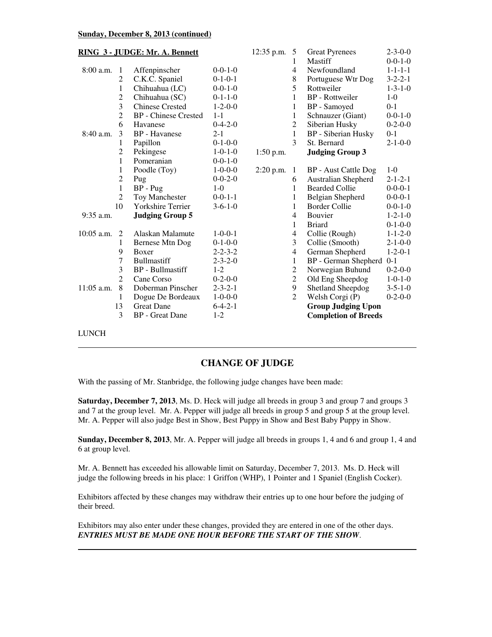#### **Sunday, December 8, 2013 (continued)**

| RING 3 - JUDGE: Mr. A. Bennett |                |                             |                 | $12:35$ p.m. | -5               | <b>Great Pyrenees</b>       | $2 - 3 - 0 - 0$ |
|--------------------------------|----------------|-----------------------------|-----------------|--------------|------------------|-----------------------------|-----------------|
|                                |                |                             |                 |              | 1                | Mastiff                     | $0 - 0 - 1 - 0$ |
| $8:00$ a.m.                    | -1             | Affenpinscher               | $0-0-1-0$       |              | $\overline{4}$   | Newfoundland                | $1 - 1 - 1 - 1$ |
|                                | $\overline{2}$ | C.K.C. Spaniel              | $0-1-0-1$       |              | 8                | Portuguese Wtr Dog          | $3 - 2 - 2 - 1$ |
|                                | 1              | Chihuahua (LC)              | $0-0-1-0$       |              | 5                | Rottweiler                  | $1 - 3 - 1 - 0$ |
|                                | $\overline{2}$ | Chihuahua (SC)              | $0-1-1-0$       |              | 1                | <b>BP</b> - Rottweiler      | $1-0$           |
|                                | $\overline{3}$ | <b>Chinese Crested</b>      | $1 - 2 - 0 - 0$ |              | 1                | BP - Samoyed                | $0 - 1$         |
|                                | $\overline{2}$ | <b>BP</b> - Chinese Crested | $1 - 1$         |              | 1                | Schnauzer (Giant)           | $0 - 0 - 1 - 0$ |
|                                | 6              | Havanese                    | $0 - 4 - 2 - 0$ |              | $\overline{2}$   | Siberian Husky              | $0-2-0-0$       |
| 8:40 a.m.                      | 3              | <b>BP</b> - Havanese        | $2 - 1$         |              | $\mathbf{1}$     | <b>BP</b> - Siberian Husky  | $0 - 1$         |
|                                | 1              | Papillon                    | $0-1-0-0$       |              | 3                | St. Bernard                 | $2 - 1 - 0 - 0$ |
|                                | $\overline{2}$ | Pekingese                   | $1 - 0 - 1 - 0$ | $1:50$ p.m.  |                  | <b>Judging Group 3</b>      |                 |
|                                | $\mathbf{1}$   | Pomeranian                  | $0-0-1-0$       |              |                  |                             |                 |
|                                | 1              | Poodle (Toy)                | $1 - 0 - 0 - 0$ | $2:20$ p.m.  | -1               | BP - Aust Cattle Dog        | $1-0$           |
|                                | $\overline{2}$ | Pug                         | $0 - 0 - 2 - 0$ |              | 6                | Australian Shepherd         | $2 - 1 - 2 - 1$ |
|                                | $\mathbf{1}$   | $BP - Pug$                  | $1-0$           |              | 1                | <b>Bearded Collie</b>       | $0 - 0 - 0 - 1$ |
|                                | $\overline{2}$ | <b>Toy Manchester</b>       | $0 - 0 - 1 - 1$ |              | 1                | Belgian Shepherd            | $0 - 0 - 0 - 1$ |
|                                | 10             | Yorkshire Terrier           | $3-6-1-0$       |              | 1                | <b>Border Collie</b>        | $0 - 0 - 1 - 0$ |
| $9:35$ a.m.                    |                | <b>Judging Group 5</b>      |                 |              | 4                | Bouvier                     | $1 - 2 - 1 - 0$ |
|                                |                |                             |                 |              | 1                | <b>Briard</b>               | $0-1-0-0$       |
| 10:05 a.m.                     | 2              | Alaskan Malamute            | $1 - 0 - 0 - 1$ |              | $\overline{4}$   | Collie (Rough)              | $1 - 1 - 2 - 0$ |
|                                | 1              | Bernese Mtn Dog             | $0-1-0-0$       |              | 3                | Collie (Smooth)             | $2 - 1 - 0 - 0$ |
|                                | 9              | Boxer                       | $2 - 2 - 3 - 2$ |              | 4                | German Shepherd             | $1 - 2 - 0 - 1$ |
|                                | 7              | <b>Bullmastiff</b>          | $2 - 3 - 2 - 0$ |              | $\mathbf{1}$     | BP - German Shepherd        | $0-1$           |
|                                | 3              | <b>BP</b> - Bullmastiff     | $1-2$           |              | $\overline{2}$   | Norwegian Buhund            | $0-2-0-0$       |
|                                | $\overline{2}$ | Cane Corso                  | $0-2-0-0$       |              | $\boldsymbol{2}$ | Old Eng Sheepdog            | $1 - 0 - 1 - 0$ |
| 11:05 a.m.                     | 8              | Doberman Pinscher           | $2 - 3 - 2 - 1$ |              | 9                | Shetland Sheepdog           | $3 - 5 - 1 - 0$ |
|                                | 1              | Dogue De Bordeaux           | $1 - 0 - 0 - 0$ |              | $\overline{2}$   | Welsh Corgi (P)             | $0-2-0-0$       |
|                                | 13             | <b>Great Dane</b>           | $6 - 4 - 2 - 1$ |              |                  | <b>Group Judging Upon</b>   |                 |
|                                | 3              | <b>BP</b> - Great Dane      | $1-2$           |              |                  | <b>Completion of Breeds</b> |                 |
| <b>LUNCH</b>                   |                |                             |                 |              |                  |                             |                 |

#### **CHANGE OF JUDGE**

With the passing of Mr. Stanbridge, the following judge changes have been made:

**Saturday, December 7, 2013**, Ms. D. Heck will judge all breeds in group 3 and group 7 and groups 3 and 7 at the group level. Mr. A. Pepper will judge all breeds in group 5 and group 5 at the group level. Mr. A. Pepper will also judge Best in Show, Best Puppy in Show and Best Baby Puppy in Show.

**Sunday, December 8, 2013**, Mr. A. Pepper will judge all breeds in groups 1, 4 and 6 and group 1, 4 and 6 at group level.

Mr. A. Bennett has exceeded his allowable limit on Saturday, December 7, 2013. Ms. D. Heck will judge the following breeds in his place: 1 Griffon (WHP), 1 Pointer and 1 Spaniel (English Cocker).

Exhibitors affected by these changes may withdraw their entries up to one hour before the judging of their breed.

Exhibitors may also enter under these changes, provided they are entered in one of the other days. *ENTRIES MUST BE MADE ONE HOUR BEFORE THE START OF THE SHOW*.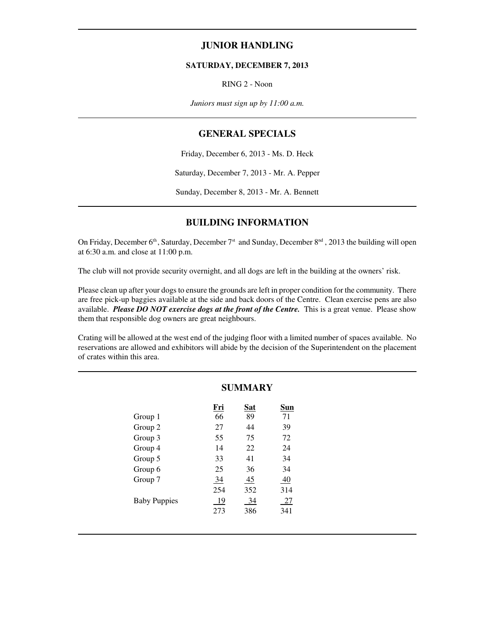#### **JUNIOR HANDLING**

#### **SATURDAY, DECEMBER 7, 2013**

RING 2 - Noon

*Juniors must sign up by 11:00 a.m.*

#### **GENERAL SPECIALS**

Friday, December 6, 2013 - Ms. D. Heck

Saturday, December 7, 2013 - Mr. A. Pepper

Sunday, December 8, 2013 - Mr. A. Bennett

#### **BUILDING INFORMATION**

On Friday, December  $6<sup>th</sup>$ , Saturday, December  $7<sup>st</sup>$  and Sunday, December  $8<sup>nd</sup>$ , 2013 the building will open at 6:30 a.m. and close at 11:00 p.m.

The club will not provide security overnight, and all dogs are left in the building at the owners' risk.

Please clean up after your dogs to ensure the grounds are left in proper condition for the community. There are free pick-up baggies available at the side and back doors of the Centre. Clean exercise pens are also available. *Please DO NOT exercise dogs at the front of the Centre.* This is a great venue. Please show them that responsible dog owners are great neighbours.

Crating will be allowed at the west end of the judging floor with a limited number of spaces available. No reservations are allowed and exhibitors will abide by the decision of the Superintendent on the placement of crates within this area.

|                     | <b>SUMMARY</b> |            |     |  |  |
|---------------------|----------------|------------|-----|--|--|
|                     | Fri            | <u>Sat</u> | Sun |  |  |
| Group 1             | 66             | 89         | 71  |  |  |
| Group 2             | 27             | 44         | 39  |  |  |
| Group 3             | 55             | 75         | 72  |  |  |
| Group 4             | 14             | 22         | 24  |  |  |
| Group 5             | 33             | 41         | 34  |  |  |
| Group 6             | 25             | 36         | 34  |  |  |
| Group 7             | 34             | 45         | 40  |  |  |
|                     | 254            | 352        | 314 |  |  |
| <b>Baby Puppies</b> | 19             | 34         | 27  |  |  |
|                     | 273            | 386        | 341 |  |  |
|                     |                |            |     |  |  |

l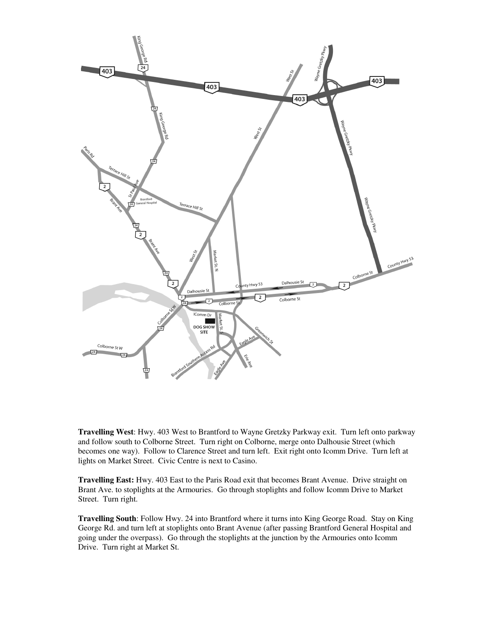

**Travelling West**: Hwy. 403 West to Brantford to Wayne Gretzky Parkway exit. Turn left onto parkway and follow south to Colborne Street. Turn right on Colborne, merge onto Dalhousie Street (which becomes one way). Follow to Clarence Street and turn left. Exit right onto Icomm Drive. Turn left at lights on Market Street. Civic Centre is next to Casino.

**Travelling East:** Hwy. 403 East to the Paris Road exit that becomes Brant Avenue. Drive straight on Brant Ave. to stoplights at the Armouries. Go through stoplights and follow Icomm Drive to Market Street. Turn right.

**Travelling South**: Follow Hwy. 24 into Brantford where it turns into King George Road. Stay on King George Rd. and turn left at stoplights onto Brant Avenue (after passing Brantford General Hospital and going under the overpass). Go through the stoplights at the junction by the Armouries onto Icomm Drive. Turn right at Market St.